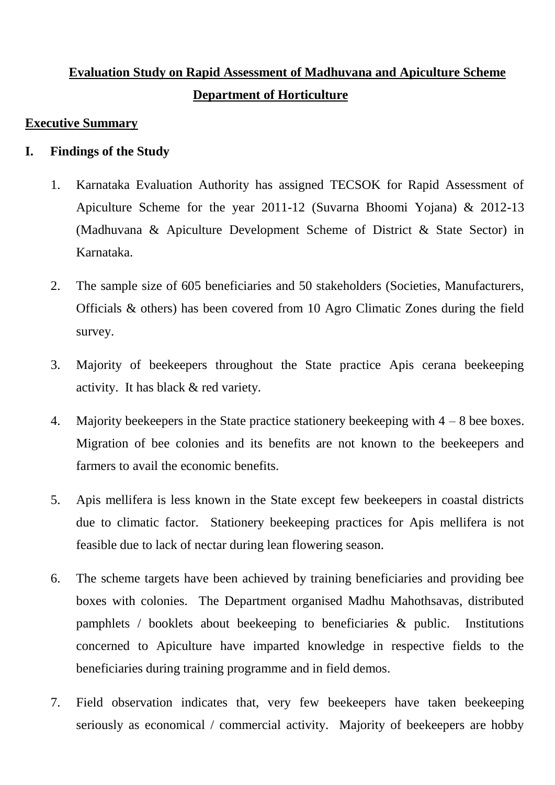# **Evaluation Study on Rapid Assessment of Madhuvana and Apiculture Scheme Department of Horticulture**

## **Executive Summary**

# **I. Findings of the Study**

- 1. Karnataka Evaluation Authority has assigned TECSOK for Rapid Assessment of Apiculture Scheme for the year 2011-12 (Suvarna Bhoomi Yojana) & 2012-13 (Madhuvana & Apiculture Development Scheme of District & State Sector) in Karnataka.
- 2. The sample size of 605 beneficiaries and 50 stakeholders (Societies, Manufacturers, Officials & others) has been covered from 10 Agro Climatic Zones during the field survey.
- 3. Majority of beekeepers throughout the State practice Apis cerana beekeeping activity. It has black & red variety.
- 4. Majority beekeepers in the State practice stationery beekeeping with 4 8 bee boxes. Migration of bee colonies and its benefits are not known to the beekeepers and farmers to avail the economic benefits.
- 5. Apis mellifera is less known in the State except few beekeepers in coastal districts due to climatic factor. Stationery beekeeping practices for Apis mellifera is not feasible due to lack of nectar during lean flowering season.
- 6. The scheme targets have been achieved by training beneficiaries and providing bee boxes with colonies. The Department organised Madhu Mahothsavas, distributed pamphlets / booklets about beekeeping to beneficiaries & public. Institutions concerned to Apiculture have imparted knowledge in respective fields to the beneficiaries during training programme and in field demos.
- 7. Field observation indicates that, very few beekeepers have taken beekeeping seriously as economical / commercial activity. Majority of beekeepers are hobby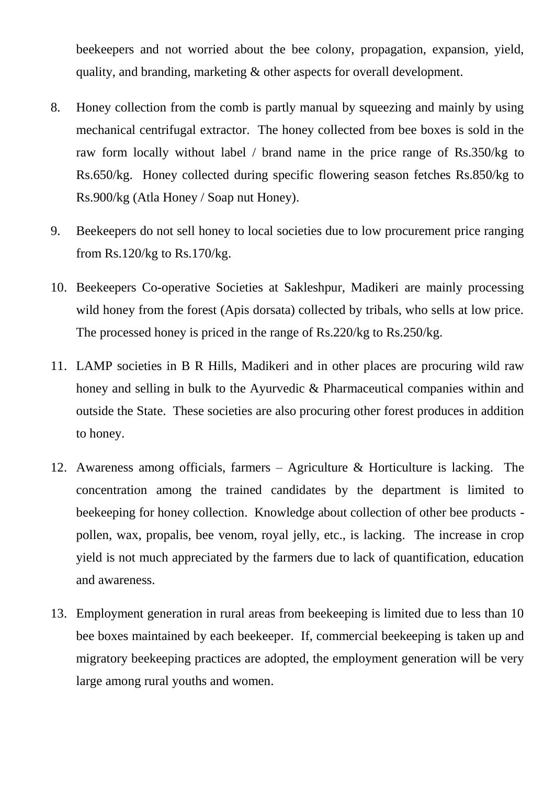beekeepers and not worried about the bee colony, propagation, expansion, yield, quality, and branding, marketing & other aspects for overall development.

- 8. Honey collection from the comb is partly manual by squeezing and mainly by using mechanical centrifugal extractor. The honey collected from bee boxes is sold in the raw form locally without label / brand name in the price range of Rs.350/kg to Rs.650/kg. Honey collected during specific flowering season fetches Rs.850/kg to Rs.900/kg (Atla Honey / Soap nut Honey).
- 9. Beekeepers do not sell honey to local societies due to low procurement price ranging from Rs.120/kg to Rs.170/kg.
- 10. Beekeepers Co-operative Societies at Sakleshpur, Madikeri are mainly processing wild honey from the forest (Apis dorsata) collected by tribals, who sells at low price. The processed honey is priced in the range of Rs.220/kg to Rs.250/kg.
- 11. LAMP societies in B R Hills, Madikeri and in other places are procuring wild raw honey and selling in bulk to the Ayurvedic & Pharmaceutical companies within and outside the State. These societies are also procuring other forest produces in addition to honey.
- 12. Awareness among officials, farmers Agriculture & Horticulture is lacking. The concentration among the trained candidates by the department is limited to beekeeping for honey collection. Knowledge about collection of other bee products pollen, wax, propalis, bee venom, royal jelly, etc., is lacking. The increase in crop yield is not much appreciated by the farmers due to lack of quantification, education and awareness.
- 13. Employment generation in rural areas from beekeeping is limited due to less than 10 bee boxes maintained by each beekeeper. If, commercial beekeeping is taken up and migratory beekeeping practices are adopted, the employment generation will be very large among rural youths and women.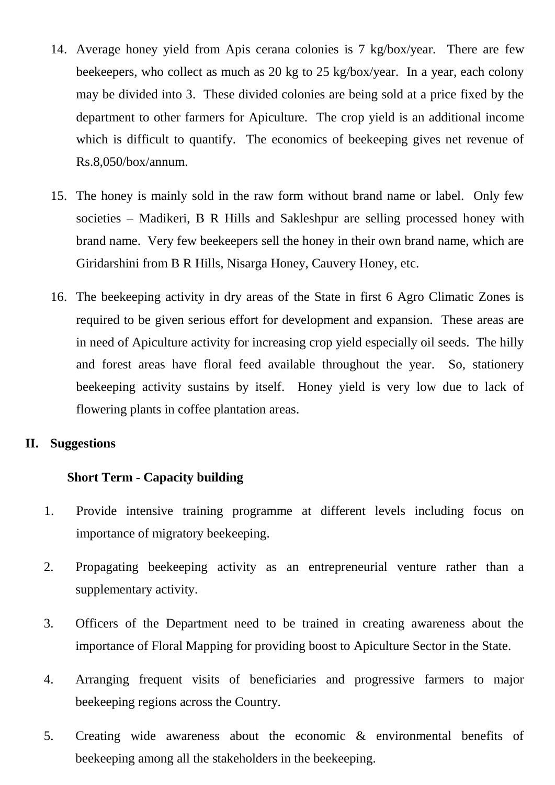- 14. Average honey yield from Apis cerana colonies is 7 kg/box/year. There are few beekeepers, who collect as much as 20 kg to 25 kg/box/year. In a year, each colony may be divided into 3. These divided colonies are being sold at a price fixed by the department to other farmers for Apiculture. The crop yield is an additional income which is difficult to quantify. The economics of beekeeping gives net revenue of Rs.8,050/box/annum.
- 15. The honey is mainly sold in the raw form without brand name or label. Only few societies – Madikeri, B R Hills and Sakleshpur are selling processed honey with brand name. Very few beekeepers sell the honey in their own brand name, which are Giridarshini from B R Hills, Nisarga Honey, Cauvery Honey, etc.
- 16. The beekeeping activity in dry areas of the State in first 6 Agro Climatic Zones is required to be given serious effort for development and expansion. These areas are in need of Apiculture activity for increasing crop yield especially oil seeds. The hilly and forest areas have floral feed available throughout the year. So, stationery beekeeping activity sustains by itself. Honey yield is very low due to lack of flowering plants in coffee plantation areas.

#### **II. Suggestions**

#### **Short Term - Capacity building**

- 1. Provide intensive training programme at different levels including focus on importance of migratory beekeeping.
- 2. Propagating beekeeping activity as an entrepreneurial venture rather than a supplementary activity.
- 3. Officers of the Department need to be trained in creating awareness about the importance of Floral Mapping for providing boost to Apiculture Sector in the State.
- 4. Arranging frequent visits of beneficiaries and progressive farmers to major beekeeping regions across the Country.
- 5. Creating wide awareness about the economic & environmental benefits of beekeeping among all the stakeholders in the beekeeping.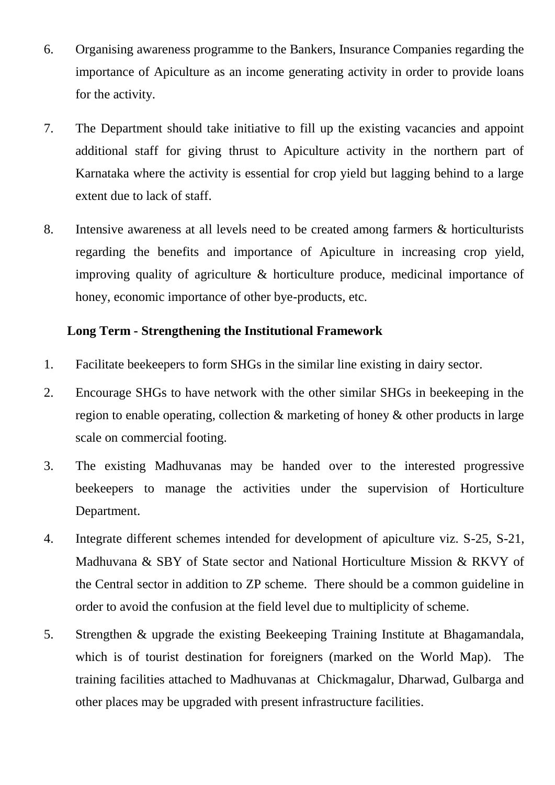- 6. Organising awareness programme to the Bankers, Insurance Companies regarding the importance of Apiculture as an income generating activity in order to provide loans for the activity.
- 7. The Department should take initiative to fill up the existing vacancies and appoint additional staff for giving thrust to Apiculture activity in the northern part of Karnataka where the activity is essential for crop yield but lagging behind to a large extent due to lack of staff.
- 8. Intensive awareness at all levels need to be created among farmers & horticulturists regarding the benefits and importance of Apiculture in increasing crop yield, improving quality of agriculture & horticulture produce, medicinal importance of honey, economic importance of other bye-products, etc.

# **Long Term - Strengthening the Institutional Framework**

- 1. Facilitate beekeepers to form SHGs in the similar line existing in dairy sector.
- 2. Encourage SHGs to have network with the other similar SHGs in beekeeping in the region to enable operating, collection & marketing of honey & other products in large scale on commercial footing.
- 3. The existing Madhuvanas may be handed over to the interested progressive beekeepers to manage the activities under the supervision of Horticulture Department.
- 4. Integrate different schemes intended for development of apiculture viz. S-25, S-21, Madhuvana & SBY of State sector and National Horticulture Mission & RKVY of the Central sector in addition to ZP scheme. There should be a common guideline in order to avoid the confusion at the field level due to multiplicity of scheme.
- 5. Strengthen & upgrade the existing Beekeeping Training Institute at Bhagamandala, which is of tourist destination for foreigners (marked on the World Map). The training facilities attached to Madhuvanas at Chickmagalur, Dharwad, Gulbarga and other places may be upgraded with present infrastructure facilities.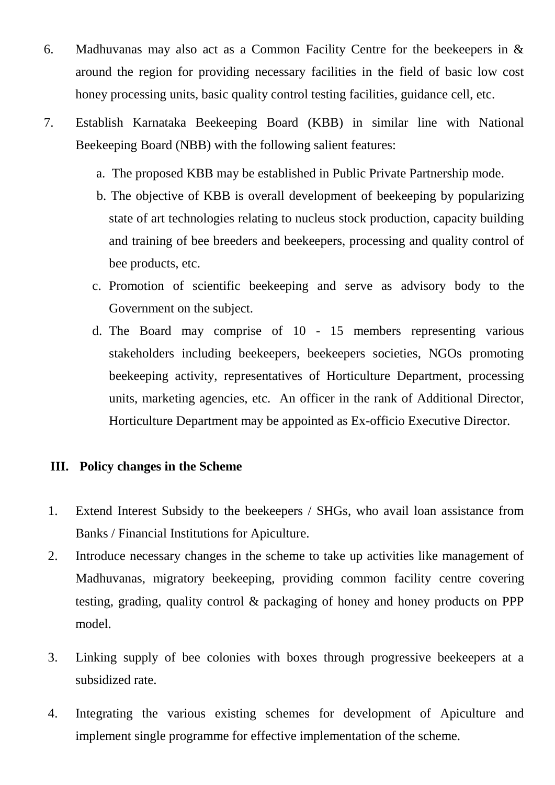- 6. Madhuvanas may also act as a Common Facility Centre for the beekeepers in & around the region for providing necessary facilities in the field of basic low cost honey processing units, basic quality control testing facilities, guidance cell, etc.
- 7. Establish Karnataka Beekeeping Board (KBB) in similar line with National Beekeeping Board (NBB) with the following salient features:
	- a. The proposed KBB may be established in Public Private Partnership mode.
	- b. The objective of KBB is overall development of beekeeping by popularizing state of art technologies relating to nucleus stock production, capacity building and training of bee breeders and beekeepers, processing and quality control of bee products, etc.
	- c. Promotion of scientific beekeeping and serve as advisory body to the Government on the subject.
	- d. The Board may comprise of 10 15 members representing various stakeholders including beekeepers, beekeepers societies, NGOs promoting beekeeping activity, representatives of Horticulture Department, processing units, marketing agencies, etc. An officer in the rank of Additional Director, Horticulture Department may be appointed as Ex-officio Executive Director.

## **III. Policy changes in the Scheme**

- 1. Extend Interest Subsidy to the beekeepers / SHGs, who avail loan assistance from Banks / Financial Institutions for Apiculture.
- 2. Introduce necessary changes in the scheme to take up activities like management of Madhuvanas, migratory beekeeping, providing common facility centre covering testing, grading, quality control & packaging of honey and honey products on PPP model.
- 3. Linking supply of bee colonies with boxes through progressive beekeepers at a subsidized rate.
- 4. Integrating the various existing schemes for development of Apiculture and implement single programme for effective implementation of the scheme.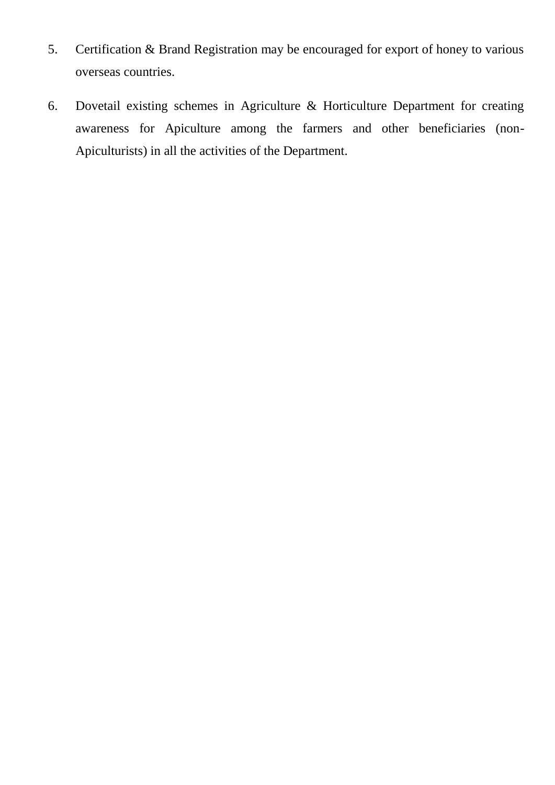- 5. Certification & Brand Registration may be encouraged for export of honey to various overseas countries.
- 6. Dovetail existing schemes in Agriculture & Horticulture Department for creating awareness for Apiculture among the farmers and other beneficiaries (non-Apiculturists) in all the activities of the Department.